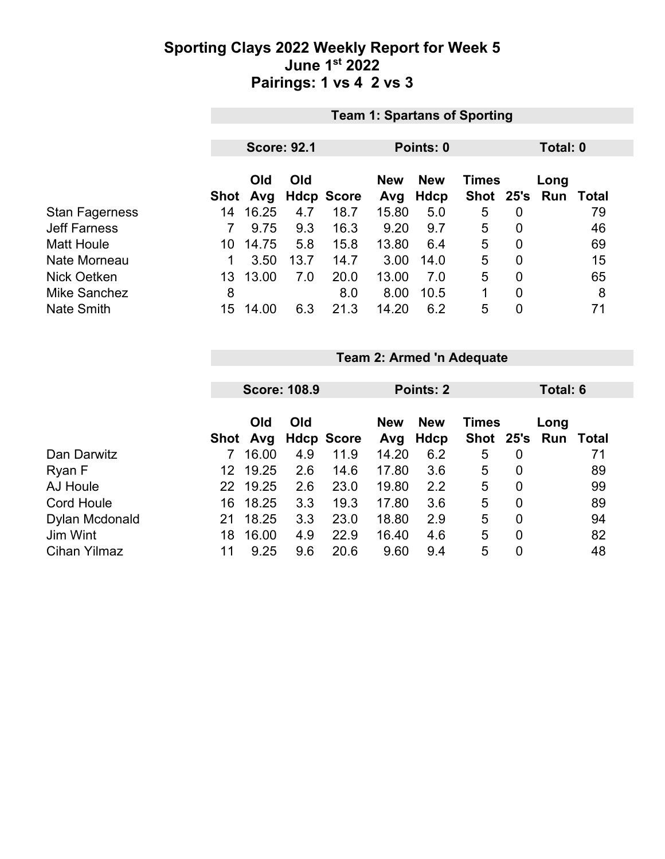### **Sporting Clays 2022 Weekly Report for Week 5 June 1st 2022 Pairings: 1 vs 4 2 vs 3**

|                       | <b>Team 1: Spartans of Sporting</b> |                    |      |                   |       |                                          |           |                |            |       |  |  |
|-----------------------|-------------------------------------|--------------------|------|-------------------|-------|------------------------------------------|-----------|----------------|------------|-------|--|--|
|                       |                                     |                    |      |                   |       |                                          |           |                |            |       |  |  |
|                       |                                     | <b>Score: 92.1</b> |      |                   |       | Points: 0                                | Total: 0  |                |            |       |  |  |
|                       |                                     | Old<br>Old         |      |                   |       | <b>New</b><br><b>New</b><br><b>Times</b> |           |                |            | Long  |  |  |
|                       | Shot                                | Avg                |      | <b>Hdcp Score</b> | Avg   | Hdcp                                     | Shot 25's |                | <b>Run</b> | Total |  |  |
| <b>Stan Fagerness</b> | 14                                  | 16.25              | 4.7  | 18.7              | 15.80 | 5.0                                      | 5         | 0              |            | 79    |  |  |
| <b>Jeff Farness</b>   |                                     | 9.75               | 9.3  | 16.3              | 9.20  | 9.7                                      | 5         | $\overline{0}$ |            | 46    |  |  |
| <b>Matt Houle</b>     | 10.                                 | 14.75              | 5.8  | 15.8              | 13.80 | 6.4                                      | 5         | 0              |            | 69    |  |  |
| Nate Morneau          | 1                                   | 3.50               | 13.7 | 14.7              | 3.00  | 14.0                                     | 5         | $\overline{0}$ |            | 15    |  |  |
| Nick Oetken           | 13                                  | 13.00              | 7.0  | 20.0              | 13.00 | 7.0                                      | 5         | $\overline{0}$ |            | 65    |  |  |
| <b>Mike Sanchez</b>   | 8                                   |                    |      | 8.0               | 8.00  | 10.5                                     | 1         | $\mathbf 0$    |            | 8     |  |  |
| <b>Nate Smith</b>     | 15                                  | 14.00              | 6.3  | 21.3              | 14.20 | 6.2                                      | 5         | $\overline{0}$ |            | 71    |  |  |

**Team 2: Armed 'n Adequate**

|                     |    |          | <b>Score: 108.9</b> |                   | Points: 2  |            |              |   | Total: 6      |       |  |
|---------------------|----|----------|---------------------|-------------------|------------|------------|--------------|---|---------------|-------|--|
|                     |    |          |                     |                   |            |            |              |   |               |       |  |
|                     |    | Old      | Old                 |                   | <b>New</b> | <b>New</b> | <b>Times</b> |   | Long          |       |  |
|                     |    | Shot Avg |                     | <b>Hdcp Score</b> | Avg        | Hdcp       |              |   | Shot 25's Run | Total |  |
| Dan Darwitz         |    | 16.00    | 4.9                 | 11.9              | 14.20      | 6.2        | 5            | 0 |               | 71    |  |
| Ryan F              | 12 | 19.25    | 2.6                 | 14.6              | 17.80      | 3.6        | 5            | 0 |               | 89    |  |
| AJ Houle            | 22 | 19.25    | 2.6                 | 23.0              | 19.80      | 2.2        | 5            | 0 |               | 99    |  |
| <b>Cord Houle</b>   | 16 | 18.25    | 3.3                 | 19.3              | 17.80      | 3.6        | 5            | 0 |               | 89    |  |
| Dylan Mcdonald      | 21 | 18.25    | 3.3                 | 23.0              | 18.80      | 2.9        | 5            | 0 |               | 94    |  |
| Jim Wint            | 18 | 16.00    | 4.9                 | 22.9              | 16.40      | 4.6        | 5            | 0 |               | 82    |  |
| <b>Cihan Yilmaz</b> | 11 | 9.25     | 9.6                 | 20.6              | 9.60       | 9.4        | 5            | 0 |               | 48    |  |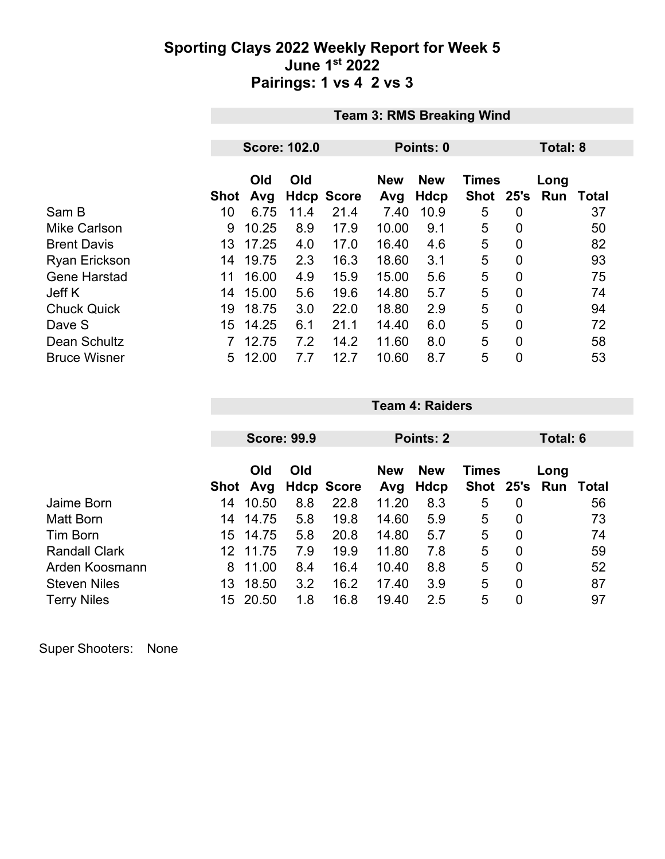### **Sporting Clays 2022 Weekly Report for Week 5 June 1st 2022 Pairings: 1 vs 4 2 vs 3**

|                      | <b>Team 3: RMS Breaking Wind</b> |            |                     |                   |                   |                    |                      |                |             |              |
|----------------------|----------------------------------|------------|---------------------|-------------------|-------------------|--------------------|----------------------|----------------|-------------|--------------|
|                      |                                  |            |                     |                   |                   |                    |                      |                |             |              |
|                      |                                  |            | <b>Score: 102.0</b> |                   |                   | Points: 0          | Total: 8             |                |             |              |
|                      | <b>Shot</b>                      | Old<br>Avg | Old                 | <b>Hdcp Score</b> | <b>New</b><br>Avg | <b>New</b><br>Hdcp | <b>Times</b><br>Shot | 25's           | Long<br>Run | <b>Total</b> |
| Sam B                | 10                               | 6.75       | 11.4                | 21.4              | 7.40              | 10.9               | 5                    | $\overline{0}$ |             | 37           |
| <b>Mike Carlson</b>  | 9                                | 10.25      | 8.9                 | 17.9              | 10.00             | 9.1                | 5                    | $\overline{0}$ |             | 50           |
| <b>Brent Davis</b>   | 13                               | 17.25      | 4.0                 | 17.0              | 16.40             | 4.6                | 5                    | $\mathbf 0$    |             | 82           |
| <b>Ryan Erickson</b> | 14                               | 19.75      | 2.3                 | 16.3              | 18.60             | 3.1                | 5                    | $\overline{0}$ |             | 93           |
| <b>Gene Harstad</b>  | 11                               | 16.00      | 4.9                 | 15.9              | 15.00             | 5.6                | 5                    | $\overline{0}$ |             | 75           |
| Jeff K               | 14                               | 15.00      | 5.6                 | 19.6              | 14.80             | 5.7                | 5                    | $\mathbf 0$    |             | 74           |
| <b>Chuck Quick</b>   | 19                               | 18.75      | 3.0                 | 22.0              | 18.80             | 2.9                | 5                    | $\overline{0}$ |             | 94           |
| Dave S               | 15                               | 14.25      | 6.1                 | 21.1              | 14.40             | 6.0                | 5                    | $\Omega$       |             | 72           |
| Dean Schultz         |                                  | 12.75      | 7.2                 | 14.2              | 11.60             | 8.0                | 5                    | 0              |             | 58           |
| <b>Bruce Wisner</b>  | 5                                | 12.00      | 7.7                 | 12.7              | 10.60             | 8.7                | 5                    | $\mathbf 0$    |             | 53           |

|                      |     |            | <b>Score: 99.9</b> |                   | Points: 2 |            |              |                | Total: 6 |       |
|----------------------|-----|------------|--------------------|-------------------|-----------|------------|--------------|----------------|----------|-------|
|                      |     |            |                    |                   |           |            |              |                |          |       |
|                      |     | Old<br>Old |                    |                   |           | <b>New</b> | <b>Times</b> |                | Long     |       |
|                      |     | Shot Avg   |                    | <b>Hdcp Score</b> | Avg       | Hdcp       | Shot         | 25's           | Run      | Total |
| Jaime Born           | 14  | 10.50      | 8.8                | 22.8              | 11.20     | 8.3        | 5            | 0              |          | 56    |
| Matt Born            | 14  | 14.75      | 5.8                | 19.8              | 14.60     | 5.9        | 5            | 0              |          | 73    |
| Tim Born             | 15. | 14.75      | 5.8                | 20.8              | 14.80     | 5.7        | 5            | 0              |          | 74    |
| <b>Randall Clark</b> | 12  | 11.75      | 7.9                | 19.9              | 11.80     | 7.8        | 5            | $\overline{0}$ |          | 59    |
| Arden Koosmann       | 8   | 11.00      | 8.4                | 16.4              | 10.40     | 8.8        | 5            | $\overline{0}$ |          | 52    |
| <b>Steven Niles</b>  | 13  | 18.50      | 3.2                | 16.2              | 17.40     | 3.9        | 5            | 0              |          | 87    |
| <b>Terry Niles</b>   | 15  | 20.50      | 1.8                | 16.8              | 19.40     | 2.5        | 5            | 0              |          | 97    |

**Team 4: Raiders**

Super Shooters: None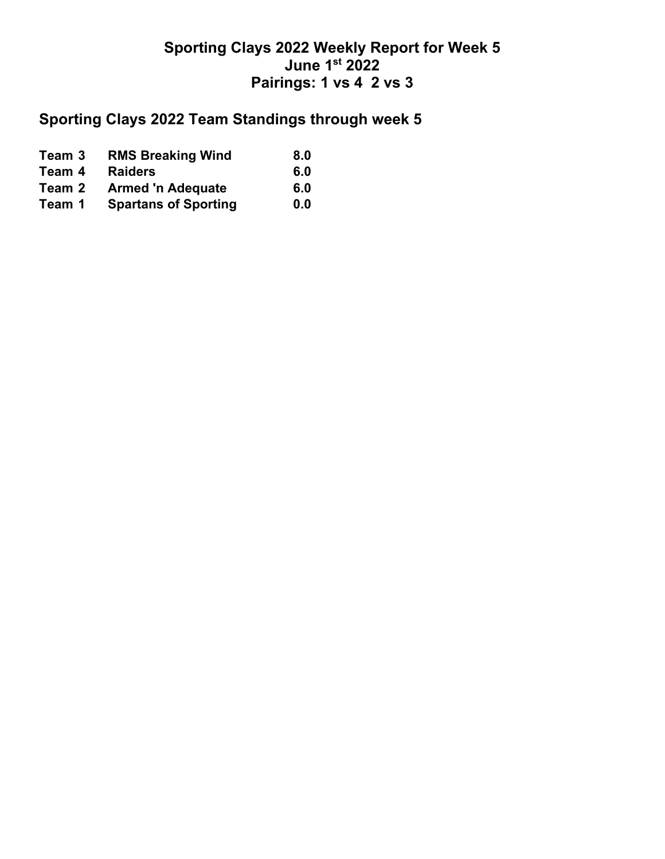## **Sporting Clays 2022 Weekly Report for Week 5 June 1st 2022 Pairings: 1 vs 4 2 vs 3**

## **Sporting Clays 2022 Team Standings through week 5**

| Team 3 | <b>RMS Breaking Wind</b>    | 8.0 |
|--------|-----------------------------|-----|
| Team 4 | <b>Raiders</b>              | 6.0 |
| Team 2 | <b>Armed 'n Adequate</b>    | 6.0 |
| Team 1 | <b>Spartans of Sporting</b> | 0.0 |